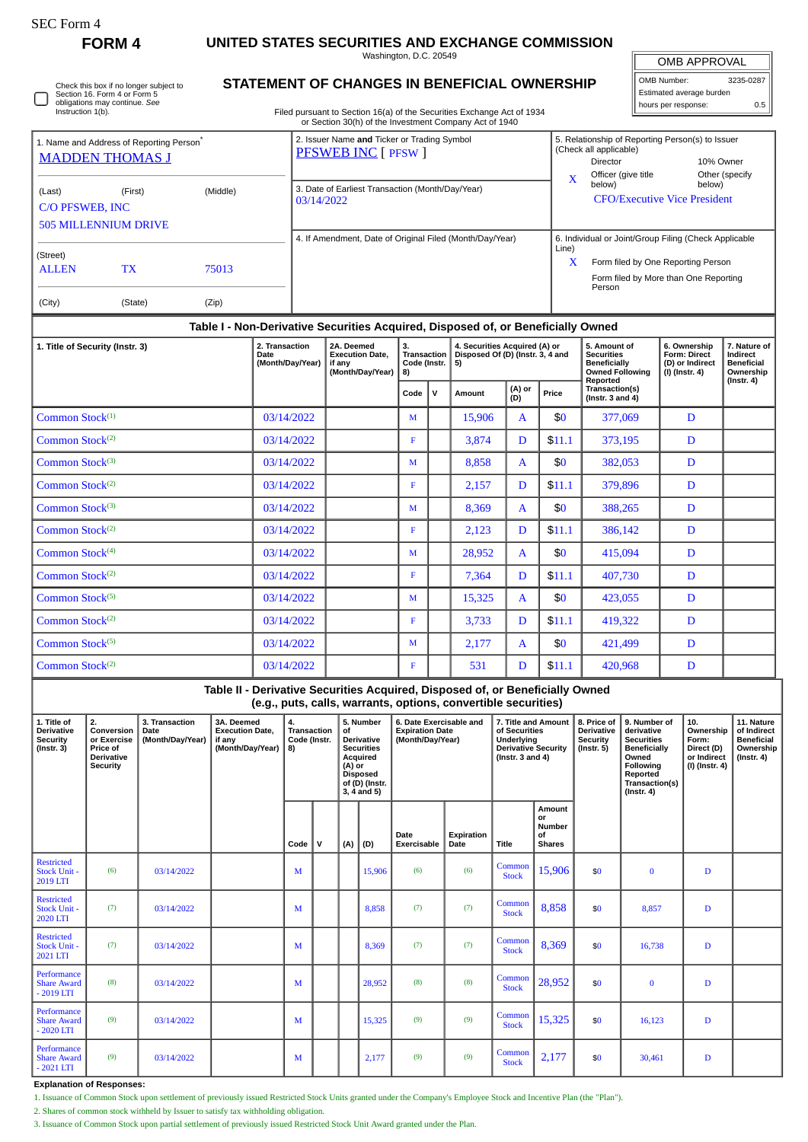| ،FC Form |
|----------|
|----------|

 $\Box$ 

**FORM 4 UNITED STATES SECURITIES AND EXCHANGE COMMISSION**

Washington, D.C. 20549

| <b>OMB APPROVAL</b> |         |
|---------------------|---------|
| MR Numhar:          | 3235-02 |

OMB Number: 3235-0287 Estimated average burden hours per response: 0.5

## **STATEMENT OF CHANGES IN BENEFICIAL OWNERSHIP**

Filed pursuant to Section 16(a) of the Securities Exchange Act of 1934 or Section 30(h) of the Investment Company Act of 1940

|                                                                                                                                                                                                                                                                             |         |  |                                                                                                                              |            |                                                                       | $\alpha$ decada dollar, or and investment dompany , tot or 1946                                                                                 |              |                                                                                                           |                        |                                                                         |                                                                                                                                                     |                                                                                    |                                                                                 |                                                            |  |
|-----------------------------------------------------------------------------------------------------------------------------------------------------------------------------------------------------------------------------------------------------------------------------|---------|--|------------------------------------------------------------------------------------------------------------------------------|------------|-----------------------------------------------------------------------|-------------------------------------------------------------------------------------------------------------------------------------------------|--------------|-----------------------------------------------------------------------------------------------------------|------------------------|-------------------------------------------------------------------------|-----------------------------------------------------------------------------------------------------------------------------------------------------|------------------------------------------------------------------------------------|---------------------------------------------------------------------------------|------------------------------------------------------------|--|
| 1. Name and Address of Reporting Person <sup>®</sup><br><b>MADDEN THOMAS J</b>                                                                                                                                                                                              |         |  |                                                                                                                              |            |                                                                       | 2. Issuer Name and Ticker or Trading Symbol<br><b>PFSWEB INC [ PFSW ]</b>                                                                       |              |                                                                                                           |                        |                                                                         | (Check all applicable)<br>Director                                                                                                                  |                                                                                    | 5. Relationship of Reporting Person(s) to Issuer<br>10% Owner                   |                                                            |  |
| (Last)<br>(First)<br>(Middle)<br>C/O PFSWEB, INC<br><b>505 MILLENNIUM DRIVE</b>                                                                                                                                                                                             |         |  |                                                                                                                              |            | 03/14/2022                                                            | 3. Date of Earliest Transaction (Month/Day/Year)                                                                                                |              |                                                                                                           |                        |                                                                         | $\mathbf X$<br>below)                                                                                                                               | Officer (give title<br><b>CFO/Executive Vice President</b>                         |                                                                                 | Other (specify<br>below)                                   |  |
| (Street)<br><b>TX</b><br>75013<br><b>ALLEN</b>                                                                                                                                                                                                                              |         |  |                                                                                                                              |            |                                                                       | 4. If Amendment, Date of Original Filed (Month/Day/Year)                                                                                        |              |                                                                                                           |                        | Line)                                                                   | 6. Individual or Joint/Group Filing (Check Applicable<br>Form filed by One Reporting Person<br>X<br>Form filed by More than One Reporting<br>Person |                                                                                    |                                                                                 |                                                            |  |
| (City)                                                                                                                                                                                                                                                                      | (State) |  | (Zip)                                                                                                                        |            |                                                                       |                                                                                                                                                 |              |                                                                                                           |                        |                                                                         |                                                                                                                                                     |                                                                                    |                                                                                 |                                                            |  |
|                                                                                                                                                                                                                                                                             |         |  |                                                                                                                              |            |                                                                       | Table I - Non-Derivative Securities Acquired, Disposed of, or Beneficially Owned                                                                |              |                                                                                                           |                        |                                                                         |                                                                                                                                                     |                                                                                    |                                                                                 |                                                            |  |
| 1. Title of Security (Instr. 3)                                                                                                                                                                                                                                             |         |  | 2. Transaction<br>Date<br>(Month/Day/Year)                                                                                   |            | 2A. Deemed<br><b>Execution Date,</b><br>if any<br>(Month/Day/Year)    | 3.<br><b>Transaction</b><br>Code (Instr.<br>8)                                                                                                  |              | 4. Securities Acquired (A) or<br>Disposed Of (D) (Instr. 3, 4 and<br>5)                                   |                        |                                                                         | 5. Amount of<br><b>Securities</b><br><b>Beneficially</b><br><b>Owned Following</b>                                                                  |                                                                                    | 6. Ownership<br><b>Form: Direct</b><br>(D) or Indirect<br>(I) (Instr. 4)        | 7. Nature of<br>Indirect<br><b>Beneficial</b><br>Ownership |  |
|                                                                                                                                                                                                                                                                             |         |  |                                                                                                                              |            |                                                                       | Code                                                                                                                                            | $\mathsf{v}$ | (A) or<br>Amount<br>(D)                                                                                   |                        | Price                                                                   | Reported<br>Transaction(s)<br>(Instr. $3$ and $4$ )                                                                                                 |                                                                                    |                                                                                 | $($ lnstr. 4 $)$                                           |  |
| Common Stock <sup>(1)</sup>                                                                                                                                                                                                                                                 |         |  |                                                                                                                              |            | 03/14/2022                                                            |                                                                                                                                                 | M            |                                                                                                           | 15,906<br>$\mathsf{A}$ |                                                                         | \$0                                                                                                                                                 |                                                                                    | 377,069                                                                         | D                                                          |  |
| Common Stock <sup>(2)</sup>                                                                                                                                                                                                                                                 |         |  |                                                                                                                              | 03/14/2022 |                                                                       | $\mathbf F$                                                                                                                                     |              | 3,874                                                                                                     | D<br>\$11.1            |                                                                         |                                                                                                                                                     | 373,195                                                                            | D                                                                               |                                                            |  |
| Common Stock <sup>(3)</sup>                                                                                                                                                                                                                                                 |         |  | 03/14/2022                                                                                                                   |            |                                                                       | $\mathbf M$                                                                                                                                     |              | 8,858                                                                                                     | A                      |                                                                         |                                                                                                                                                     | 382,053                                                                            | D                                                                               |                                                            |  |
| Common Stock <sup>(2)</sup>                                                                                                                                                                                                                                                 |         |  |                                                                                                                              | 03/14/2022 |                                                                       | $\mathbf F$                                                                                                                                     |              | 2,157                                                                                                     | D                      | \$11.1                                                                  |                                                                                                                                                     | 379,896                                                                            | D                                                                               |                                                            |  |
| Common Stock <sup>(3)</sup>                                                                                                                                                                                                                                                 |         |  |                                                                                                                              |            | 03/14/2022                                                            |                                                                                                                                                 | M            |                                                                                                           |                        | A                                                                       | \$0                                                                                                                                                 |                                                                                    | 388,265                                                                         | D                                                          |  |
| Common Stock <sup>(2)</sup>                                                                                                                                                                                                                                                 |         |  |                                                                                                                              |            | 03/14/2022                                                            |                                                                                                                                                 | $\mathbf F$  |                                                                                                           | 2,123<br>D             |                                                                         | \$11.1                                                                                                                                              |                                                                                    | 386,142                                                                         | D                                                          |  |
| Common Stock <sup>(4)</sup>                                                                                                                                                                                                                                                 |         |  |                                                                                                                              |            | 03/14/2022                                                            |                                                                                                                                                 | M            |                                                                                                           | 28,952<br>A            |                                                                         | \$0                                                                                                                                                 |                                                                                    | 415,094                                                                         | D                                                          |  |
| Common Stock <sup>(2)</sup>                                                                                                                                                                                                                                                 |         |  |                                                                                                                              | 03/14/2022 |                                                                       |                                                                                                                                                 | $\mathbf F$  | 7,364                                                                                                     |                        | D                                                                       | \$11.1                                                                                                                                              |                                                                                    | 407,730                                                                         | D                                                          |  |
| Common Stock <sup>(5)</sup>                                                                                                                                                                                                                                                 |         |  |                                                                                                                              |            | 03/14/2022                                                            |                                                                                                                                                 | M            |                                                                                                           | 15,325                 | A                                                                       | \$0                                                                                                                                                 |                                                                                    | 423,055                                                                         | D                                                          |  |
| Common Stock <sup>(2)</sup>                                                                                                                                                                                                                                                 |         |  |                                                                                                                              |            | 03/14/2022                                                            |                                                                                                                                                 | $\mathbf F$  |                                                                                                           | 3,733<br>D             |                                                                         | \$11.1                                                                                                                                              | 419,322                                                                            |                                                                                 | D                                                          |  |
| Common Stock <sup>(5)</sup>                                                                                                                                                                                                                                                 |         |  |                                                                                                                              |            | 03/14/2022                                                            |                                                                                                                                                 | M            |                                                                                                           | 2,177                  | A                                                                       | \$0                                                                                                                                                 | 421,499                                                                            |                                                                                 | D                                                          |  |
| Common Stock <sup>(2)</sup>                                                                                                                                                                                                                                                 |         |  |                                                                                                                              |            | 03/14/2022                                                            |                                                                                                                                                 | $\mathbf{F}$ |                                                                                                           | 531                    | D                                                                       | \$11.1                                                                                                                                              |                                                                                    | 420,968                                                                         | D                                                          |  |
|                                                                                                                                                                                                                                                                             |         |  |                                                                                                                              |            |                                                                       | Table II - Derivative Securities Acquired, Disposed of, or Beneficially Owned<br>(e.g., puts, calls, warrants, options, convertible securities) |              |                                                                                                           |                        |                                                                         |                                                                                                                                                     |                                                                                    |                                                                                 |                                                            |  |
| 2.<br>3. Transaction<br>3A. Deemed<br>1. Title of<br>Conversion<br><b>Execution Date,</b><br><b>Derivative</b><br>Date<br>(Month/Day/Year)<br>Security<br>or Exercise<br>if any<br>(Month/Day/Year)<br>$($ Instr. 3 $)$<br>Price of<br><b>Derivative</b><br><b>Security</b> |         |  | 5. Number<br>4.<br><b>Transaction</b><br>of<br>Code (Instr.<br>Derivative<br><b>Securities</b><br>8)<br>Acquired<br>$(4)$ or |            | 6. Date Exercisable and<br><b>Expiration Date</b><br>(Month/Day/Year) |                                                                                                                                                 |              | 7. Title and Amount<br>of Securities<br>Underlying<br><b>Derivative Security</b><br>(Instr. $3$ and $4$ ) |                        | 8. Price of<br><b>Derivative</b><br><b>Security</b><br>$($ Instr. 5 $)$ | 9. Number of<br>derivative<br><b>Securities</b><br><b>Beneficially</b><br>Owned<br><b>Collowing</b>                                                 | 10.<br>Ownership<br>Form:<br>Direct (D)<br>or Indirect<br>$\ln$ (Inetr $\Lambda$ ) | 11. Nature<br>of Indirect<br><b>Beneficial</b><br>Ownership<br>$($ Instr. 4 $)$ |                                                            |  |

| ,,,,,,,,,,,<br><b>Security</b><br>$($ Instr. 3 $)$   | <b>,,,,,,,,,,,</b><br>or Exercise<br>Price of<br><b>Derivative</b><br>Security | Puu<br>(Month/Day/Year) | באטטווטוו בענט<br>if any<br>(Month/Day/Year) | 8)   | ,,,,,,,,,,,,,,,<br>. .<br><b>Derivative</b><br>Code (Instr.<br><b>Securities</b><br>Acquired<br>$(A)$ or<br><b>Disposed</b><br>of (D) (Instr.<br>$3, 4$ and $5)$ |     |        | <b>EXPRESSION PRIC</b><br>(Month/Day/Year) |                    | ,, ,,,,,,,,,,,<br>Underlying<br><b>Derivative Security</b><br>( $lnstr. 3 and 4$ ) |                                                      | --------<br><b>Security</b><br>$($ Instr. 5 $)$ | <br><b>Securities</b><br><b>Beneficially</b><br>Owned<br>Following<br>Reported<br>Transaction(s)<br>$($ Instr. 4 $)$ | ,,,,,,,,,,,,<br>Form:<br>Direct (D)<br>or Indirect<br>(I) (Instr. 4) | vi illull vvl<br><b>Beneficial</b><br>Ownership<br>$($ Instr. 4 $)$ |
|------------------------------------------------------|--------------------------------------------------------------------------------|-------------------------|----------------------------------------------|------|------------------------------------------------------------------------------------------------------------------------------------------------------------------|-----|--------|--------------------------------------------|--------------------|------------------------------------------------------------------------------------|------------------------------------------------------|-------------------------------------------------|----------------------------------------------------------------------------------------------------------------------|----------------------------------------------------------------------|---------------------------------------------------------------------|
|                                                      |                                                                                |                         |                                              | Code | v                                                                                                                                                                | (A) | (D)    | Date<br><b>Exercisable</b>                 | Expiration<br>Date | <b>Title</b>                                                                       | Amount<br>or<br><b>Number</b><br>οf<br><b>Shares</b> |                                                 |                                                                                                                      |                                                                      |                                                                     |
| <b>Restricted</b><br><b>Stock Unit -</b><br>2019 LTI | (6)                                                                            | 03/14/2022              |                                              | M    |                                                                                                                                                                  |     | 15,906 | (6)                                        | (6)                | Common<br><b>Stock</b>                                                             | 15,906                                               | \$0                                             | $\bf{0}$                                                                                                             | $\mathbf D$                                                          |                                                                     |
| <b>Restricted</b><br><b>Stock Unit -</b><br>2020 LTI | (7)                                                                            | 03/14/2022              |                                              | M    |                                                                                                                                                                  |     | 8,858  | (7)                                        | (7)                | Common<br><b>Stock</b>                                                             | 8,858                                                | \$0                                             | 8,857                                                                                                                | D                                                                    |                                                                     |
| <b>Restricted</b><br>Stock Unit -<br>2021 LTI        | (7)                                                                            | 03/14/2022              |                                              | M    |                                                                                                                                                                  |     | 8,369  | (7)                                        | (7)                | Common<br><b>Stock</b>                                                             | 8,369                                                | \$0                                             | 16,738                                                                                                               | D                                                                    |                                                                     |
| Performance<br><b>Share Award</b><br>$-2019$ LTI     | (8)                                                                            | 03/14/2022              |                                              | M    |                                                                                                                                                                  |     | 28,952 | (8)                                        | (8)                | Common<br><b>Stock</b>                                                             | 28,952                                               | \$0                                             | $\bf{0}$                                                                                                             | D                                                                    |                                                                     |
| Performance<br><b>Share Award</b><br>$-2020$ LTI     | (9)                                                                            | 03/14/2022              |                                              | M    |                                                                                                                                                                  |     | 15,325 | (9)                                        | (9)                | Common<br><b>Stock</b>                                                             | 15,325                                               | \$0                                             | 16,123                                                                                                               | $\mathbf D$                                                          |                                                                     |
| Performance<br><b>Share Award</b><br>$-2021$ LTI     | (9)                                                                            | 03/14/2022              |                                              | M    |                                                                                                                                                                  |     | 2,177  | (9)                                        | (9)                | Common<br><b>Stock</b>                                                             | 2,177                                                | \$0                                             | 30,461                                                                                                               | $\mathbf D$                                                          |                                                                     |

**Explanation of Responses:**

1. Issuance of Common Stock upon settlement of previously issued Restricted Stock Units granted under the Company's Employee Stock and Incentive Plan (the "Plan").

2. Shares of common stock withheld by Issuer to satisfy tax withholding obligation.

3. Issuance of Common Stock upon partial settlement of previously issued Restricted Stock Unit Award granted under the Plan.